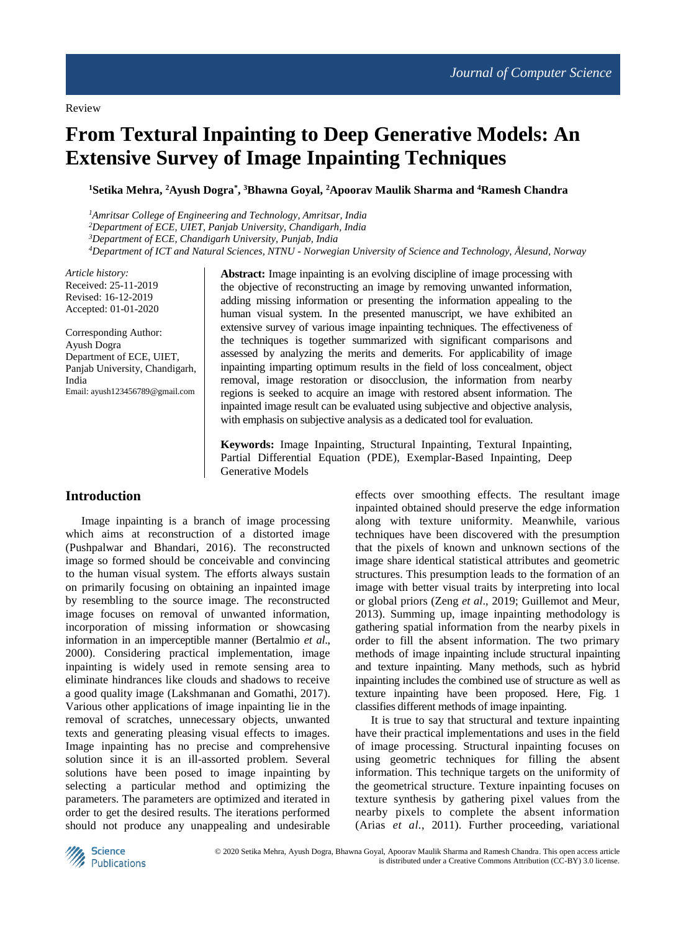# **From Textural Inpainting to Deep Generative Models: An Extensive Survey of Image Inpainting Techniques**

**<sup>1</sup>Setika Mehra, <sup>2</sup>Ayush Dogra\* , <sup>3</sup>Bhawna Goyal, <sup>2</sup>Apoorav Maulik Sharma and <sup>4</sup>Ramesh Chandra**

*Amritsar College of Engineering and Technology, Amritsar, India Department of ECE, UIET, Panjab University, Chandigarh, India Department of ECE, Chandigarh University, Punjab, India Department of ICT and Natural Sciences, NTNU - Norwegian University of Science and Technology, Ålesund, Norway*

*Article history:* Received: 25-11-2019 Revised: 16-12-2019 Accepted: 01-01-2020

Corresponding Author: Ayush Dogra Department of ECE, UIET, Panjab University, Chandigarh, India Email: ayush123456789@gmail.com

**Abstract:** Image inpainting is an evolving discipline of image processing with the objective of reconstructing an image by removing unwanted information, adding missing information or presenting the information appealing to the human visual system. In the presented manuscript, we have exhibited an extensive survey of various image inpainting techniques. The effectiveness of the techniques is together summarized with significant comparisons and assessed by analyzing the merits and demerits. For applicability of image inpainting imparting optimum results in the field of loss concealment, object removal, image restoration or disocclusion, the information from nearby regions is seeked to acquire an image with restored absent information. The inpainted image result can be evaluated using subjective and objective analysis, with emphasis on subjective analysis as a dedicated tool for evaluation.

**Keywords:** Image Inpainting, Structural Inpainting, Textural Inpainting, Partial Differential Equation (PDE), Exemplar-Based Inpainting, Deep Generative Models

## **Introduction**

Image inpainting is a branch of image processing which aims at reconstruction of a distorted image (Pushpalwar and Bhandari, 2016). The reconstructed image so formed should be conceivable and convincing to the human visual system. The efforts always sustain on primarily focusing on obtaining an inpainted image by resembling to the source image. The reconstructed image focuses on removal of unwanted information, incorporation of missing information or showcasing information in an imperceptible manner (Bertalmio *et al*., 2000). Considering practical implementation, image inpainting is widely used in remote sensing area to eliminate hindrances like clouds and shadows to receive a good quality image (Lakshmanan and Gomathi, 2017). Various other applications of image inpainting lie in the removal of scratches, unnecessary objects, unwanted texts and generating pleasing visual effects to images. Image inpainting has no precise and comprehensive solution since it is an ill-assorted problem. Several solutions have been posed to image inpainting by selecting a particular method and optimizing the parameters. The parameters are optimized and iterated in order to get the desired results. The iterations performed should not produce any unappealing and undesirable

effects over smoothing effects. The resultant image inpainted obtained should preserve the edge information along with texture uniformity. Meanwhile, various techniques have been discovered with the presumption that the pixels of known and unknown sections of the image share identical statistical attributes and geometric structures. This presumption leads to the formation of an image with better visual traits by interpreting into local or global priors (Zeng *et al*., 2019; Guillemot and Meur, 2013). Summing up, image inpainting methodology is gathering spatial information from the nearby pixels in order to fill the absent information. The two primary methods of image inpainting include structural inpainting and texture inpainting. Many methods, such as hybrid inpainting includes the combined use of structure as well as texture inpainting have been proposed. Here, Fig. 1 classifies different methods of image inpainting.

It is true to say that structural and texture inpainting have their practical implementations and uses in the field of image processing. Structural inpainting focuses on using geometric techniques for filling the absent information. This technique targets on the uniformity of the geometrical structure. Texture inpainting focuses on texture synthesis by gathering pixel values from the nearby pixels to complete the absent information (Arias *et al*., 2011). Further proceeding, variational

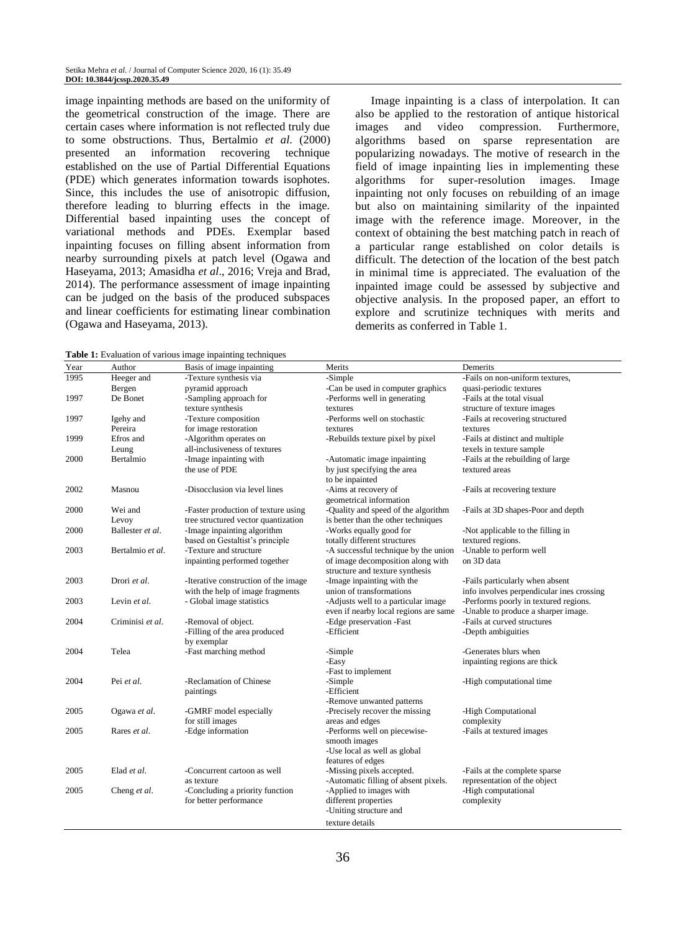image inpainting methods are based on the uniformity of the geometrical construction of the image. There are certain cases where information is not reflected truly due to some obstructions. Thus, Bertalmio *et al*. (2000) presented an information recovering technique established on the use of Partial Differential Equations (PDE) which generates information towards isophotes. Since, this includes the use of anisotropic diffusion, therefore leading to blurring effects in the image. Differential based inpainting uses the concept of variational methods and PDEs. Exemplar based inpainting focuses on filling absent information from nearby surrounding pixels at patch level (Ogawa and Haseyama, 2013; Amasidha *et al*., 2016; Vreja and Brad, 2014). The performance assessment of image inpainting can be judged on the basis of the produced subspaces and linear coefficients for estimating linear combination (Ogawa and Haseyama, 2013).

Image inpainting is a class of interpolation. It can also be applied to the restoration of antique historical images and video compression. Furthermore, algorithms based on sparse representation are popularizing nowadays. The motive of research in the field of image inpainting lies in implementing these algorithms for super-resolution images. Image inpainting not only focuses on rebuilding of an image but also on maintaining similarity of the inpainted image with the reference image. Moreover, in the context of obtaining the best matching patch in reach of a particular range established on color details is difficult. The detection of the location of the best patch in minimal time is appreciated. The evaluation of the inpainted image could be assessed by subjective and objective analysis. In the proposed paper, an effort to explore and scrutinize techniques with merits and demerits as conferred in Table 1.

**Table 1:** Evaluation of various image inpainting techniques

| Year | Author           | Basis of image inpainting            | Merits                                                      | Demerits                                  |
|------|------------------|--------------------------------------|-------------------------------------------------------------|-------------------------------------------|
| 1995 | Heeger and       | -Texture synthesis via               | -Simple                                                     | -Fails on non-uniform textures,           |
|      | Bergen           | pyramid approach                     | -Can be used in computer graphics                           | quasi-periodic textures                   |
| 1997 | De Bonet         | -Sampling approach for               | -Performs well in generating                                | -Fails at the total visual                |
|      |                  | texture synthesis                    | textures                                                    | structure of texture images               |
| 1997 | Igehy and        | -Texture composition                 | -Performs well on stochastic                                | -Fails at recovering structured           |
|      | Pereira          | for image restoration                | textures                                                    | textures                                  |
| 1999 | Efros and        | -Algorithm operates on               | -Rebuilds texture pixel by pixel                            | -Fails at distinct and multiple           |
|      | Leung            | all-inclusiveness of textures        |                                                             | texels in texture sample                  |
| 2000 | Bertalmio        | -Image inpainting with               | -Automatic image inpainting                                 | -Fails at the rebuilding of large         |
|      |                  | the use of PDE                       | by just specifying the area                                 | textured areas                            |
|      |                  |                                      | to be inpainted                                             |                                           |
| 2002 | Masnou           | -Disocclusion via level lines        | -Aims at recovery of                                        | -Fails at recovering texture              |
|      |                  |                                      | geometrical information                                     |                                           |
| 2000 | Wei and          | -Faster production of texture using  | -Quality and speed of the algorithm                         | -Fails at 3D shapes-Poor and depth        |
|      | Levoy            | tree structured vector quantization  | is better than the other techniques                         |                                           |
| 2000 | Ballester et al. | -Image inpainting algorithm          | -Works equally good for                                     | -Not applicable to the filling in         |
|      |                  | based on Gestaltist's principle      | totally different structures                                | textured regions.                         |
| 2003 | Bertalmio et al. | -Texture and structure               | -A successful technique by the union                        | -Unable to perform well                   |
|      |                  | inpainting performed together        | of image decomposition along with                           | on 3D data                                |
|      |                  |                                      | structure and texture synthesis                             |                                           |
| 2003 | Drori et al.     | -Iterative construction of the image | -Image inpainting with the                                  | -Fails particularly when absent           |
|      |                  | with the help of image fragments     | union of transformations                                    | info involves perpendicular ines crossing |
| 2003 | Levin et al.     | - Global image statistics            | -Adjusts well to a particular image                         | -Performs poorly in textured regions.     |
|      |                  |                                      | even if nearby local regions are same                       | -Unable to produce a sharper image.       |
| 2004 | Criminisi et al. | -Removal of object.                  | -Edge preservation -Fast                                    | -Fails at curved structures               |
|      |                  | -Filling of the area produced        | -Efficient                                                  | -Depth ambiguities                        |
|      |                  | by exemplar                          |                                                             |                                           |
| 2004 | Telea            | -Fast marching method                | -Simple                                                     | -Generates blurs when                     |
|      |                  |                                      | -Easy                                                       | inpainting regions are thick              |
|      |                  |                                      | -Fast to implement                                          |                                           |
| 2004 | Pei et al.       | -Reclamation of Chinese              | -Simple                                                     | -High computational time                  |
|      |                  | paintings                            | -Efficient                                                  |                                           |
| 2005 | Ogawa et al.     | -GMRF model especially               | -Remove unwanted patterns<br>-Precisely recover the missing | -High Computational                       |
|      |                  | for still images                     | areas and edges                                             |                                           |
| 2005 | Rares et al.     | -Edge information                    | -Performs well on piecewise-                                | complexity<br>-Fails at textured images   |
|      |                  |                                      | smooth images                                               |                                           |
|      |                  |                                      | -Use local as well as global                                |                                           |
|      |                  |                                      | features of edges                                           |                                           |
| 2005 | Elad et al.      | -Concurrent cartoon as well          | -Missing pixels accepted.                                   | -Fails at the complete sparse             |
|      |                  | as texture                           | -Automatic filling of absent pixels.                        | representation of the object              |
| 2005 | Cheng et al.     | -Concluding a priority function      | -Applied to images with                                     | -High computational                       |
|      |                  | for better performance               | different properties                                        | complexity                                |
|      |                  |                                      | -Uniting structure and                                      |                                           |
|      |                  |                                      | texture details                                             |                                           |
|      |                  |                                      |                                                             |                                           |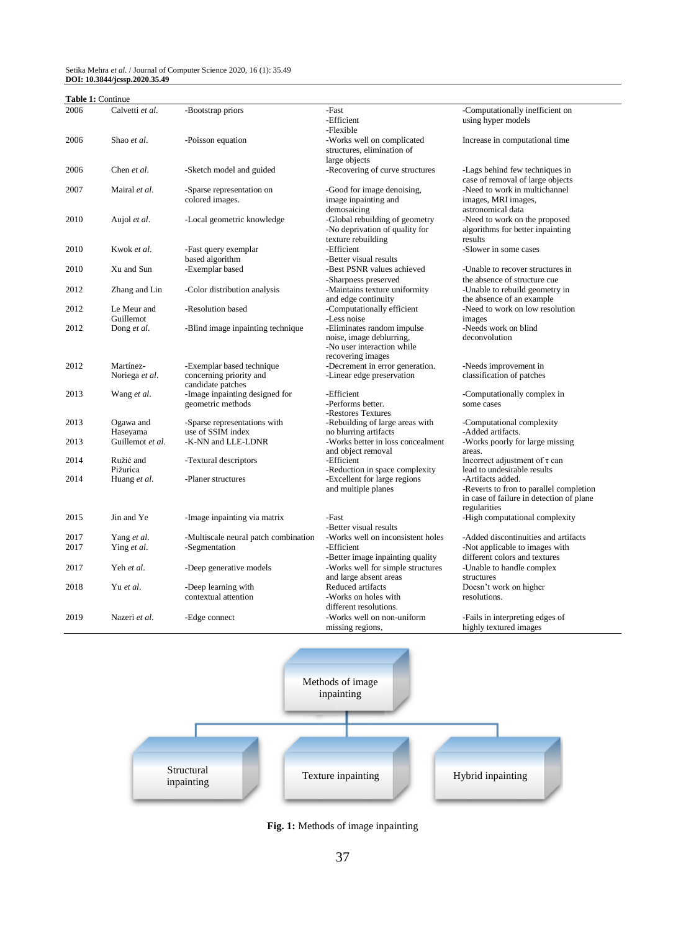#### Setika Mehra *et al*. / Journal of Computer Science 2020, 16 (1): 35.49 **DOI: 10.3844/jcssp.2020.35.49**

| <b>Table 1: Continue</b> |                             |                                                                           |                                                                                                           |                                                                                                                          |
|--------------------------|-----------------------------|---------------------------------------------------------------------------|-----------------------------------------------------------------------------------------------------------|--------------------------------------------------------------------------------------------------------------------------|
| 2006                     | Calvetti et al.             | -Bootstrap priors                                                         | -Fast<br>-Efficient<br>-Flexible                                                                          | -Computationally inefficient on<br>using hyper models                                                                    |
| 2006                     | Shao et al.                 | -Poisson equation                                                         | -Works well on complicated<br>structures, elimination of<br>large objects                                 | Increase in computational time                                                                                           |
| 2006                     | Chen et al.                 | -Sketch model and guided                                                  | -Recovering of curve structures                                                                           | -Lags behind few techniques in<br>case of removal of large objects                                                       |
| 2007                     | Mairal et al.               | -Sparse representation on<br>colored images.                              | -Good for image denoising,<br>image inpainting and<br>demosaicing                                         | -Need to work in multichannel<br>images, MRI images,<br>astronomical data                                                |
| 2010                     | Aujol et al.                | -Local geometric knowledge                                                | -Global rebuilding of geometry<br>-No deprivation of quality for<br>texture rebuilding                    | -Need to work on the proposed<br>algorithms for better inpainting<br>results                                             |
| 2010                     | Kwok et al.                 | -Fast query exemplar<br>based algorithm                                   | -Efficient<br>-Better visual results                                                                      | -Slower in some cases                                                                                                    |
| 2010                     | Xu and Sun                  | -Exemplar based                                                           | -Best PSNR values achieved<br>-Sharpness preserved                                                        | -Unable to recover structures in<br>the absence of structure cue                                                         |
| 2012                     | Zhang and Lin               | -Color distribution analysis                                              | -Maintains texture uniformity<br>and edge continuity                                                      | -Unable to rebuild geometry in<br>the absence of an example                                                              |
| 2012                     | Le Meur and<br>Guillemot    | -Resolution based                                                         | -Computationally efficient<br>-Less noise                                                                 | -Need to work on low resolution<br>images                                                                                |
| 2012                     | Dong et al.                 | -Blind image inpainting technique                                         | -Eliminates random impulse<br>noise, image deblurring,<br>-No user interaction while<br>recovering images | -Needs work on blind<br>deconvolution                                                                                    |
| 2012                     | Martínez-<br>Noriega et al. | -Exemplar based technique<br>concerning priority and<br>candidate patches | -Decrement in error generation.<br>-Linear edge preservation                                              | -Needs improvement in<br>classification of patches                                                                       |
| 2013                     | Wang et al.                 | -Image inpainting designed for<br>geometric methods                       | -Efficient<br>-Performs better.<br>-Restores Textures                                                     | -Computationally complex in<br>some cases                                                                                |
| 2013                     | Ogawa and<br>Haseyama       | -Sparse representations with<br>use of SSIM index                         | -Rebuilding of large areas with<br>no blurring artifacts                                                  | -Computational complexity<br>-Added artifacts.                                                                           |
| 2013                     | Guillemot et al.            | -K-NN and LLE-LDNR                                                        | -Works better in loss concealment<br>and object removal                                                   | -Works poorly for large missing<br>areas.                                                                                |
| 2014                     | Ružić and<br>Pižurica       | -Textural descriptors                                                     | -Efficient<br>-Reduction in space complexity                                                              | Incorrect adjustment of $\tau$ can<br>lead to undesirable results                                                        |
| 2014                     | Huang et al.                | -Planer structures                                                        | -Excellent for large regions<br>and multiple planes                                                       | -Artifacts added.<br>-Reverts to fron to parallel completion<br>in case of failure in detection of plane<br>regularities |
| 2015                     | Jin and Ye                  | -Image inpainting via matrix                                              | -Fast<br>-Better visual results                                                                           | -High computational complexity                                                                                           |
| 2017                     | Yang et al.                 | -Multiscale neural patch combination                                      | -Works well on inconsistent holes                                                                         | -Added discontinuities and artifacts                                                                                     |
| 2017                     | Ying et al.                 | -Segmentation                                                             | -Efficient<br>-Better image inpainting quality                                                            | -Not applicable to images with<br>different colors and textures                                                          |
| 2017                     | Yeh et al.                  | -Deep generative models                                                   | -Works well for simple structures<br>and large absent areas                                               | -Unable to handle complex<br>structures                                                                                  |
| 2018                     | Yu et al.                   | -Deep learning with<br>contextual attention                               | Reduced artifacts<br>-Works on holes with<br>different resolutions.                                       | Doesn't work on higher<br>resolutions.                                                                                   |
| 2019                     | Nazeri et al.               | -Edge connect                                                             | -Works well on non-uniform<br>missing regions,                                                            | -Fails in interpreting edges of<br>highly textured images                                                                |



**Fig. 1:** Methods of image inpainting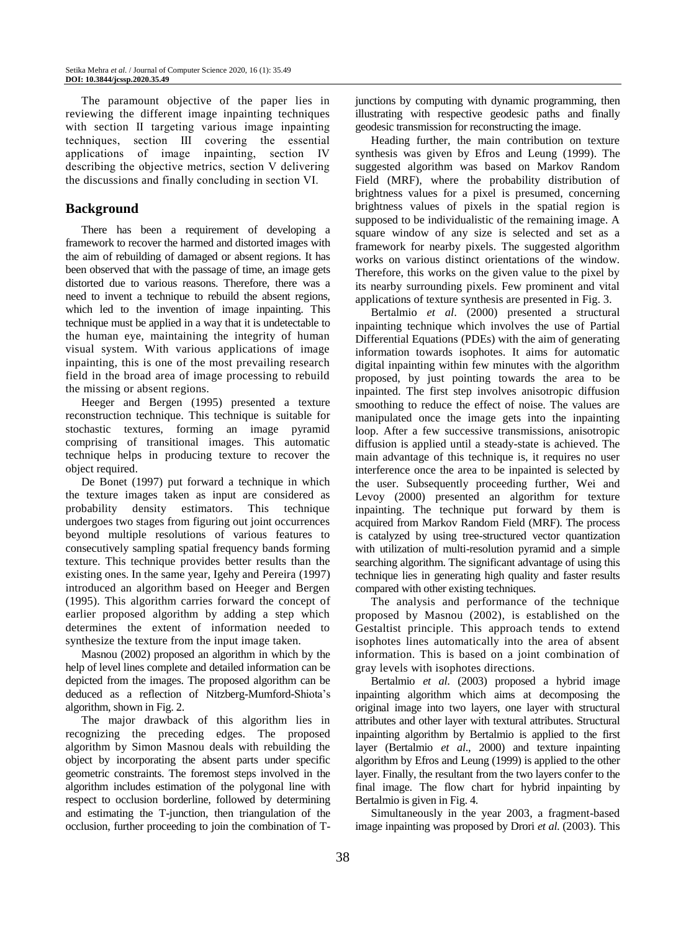The paramount objective of the paper lies in reviewing the different image inpainting techniques with section II targeting various image inpainting techniques, section Ⅲ covering the essential applications of image inpainting, section Ⅳ describing the objective metrics, section V delivering the discussions and finally concluding in section ⅤⅠ.

## **Background**

There has been a requirement of developing a framework to recover the harmed and distorted images with the aim of rebuilding of damaged or absent regions. It has been observed that with the passage of time, an image gets distorted due to various reasons. Therefore, there was a need to invent a technique to rebuild the absent regions, which led to the invention of image inpainting. This technique must be applied in a way that it is undetectable to the human eye, maintaining the integrity of human visual system. With various applications of image inpainting, this is one of the most prevailing research field in the broad area of image processing to rebuild the missing or absent regions.

Heeger and Bergen (1995) presented a texture reconstruction technique. This technique is suitable for stochastic textures, forming an image pyramid comprising of transitional images. This automatic technique helps in producing texture to recover the object required.

De Bonet (1997) put forward a technique in which the texture images taken as input are considered as probability density estimators. This technique undergoes two stages from figuring out joint occurrences beyond multiple resolutions of various features to consecutively sampling spatial frequency bands forming texture. This technique provides better results than the existing ones. In the same year, Igehy and Pereira (1997) introduced an algorithm based on Heeger and Bergen (1995). This algorithm carries forward the concept of earlier proposed algorithm by adding a step which determines the extent of information needed to synthesize the texture from the input image taken.

Masnou (2002) proposed an algorithm in which by the help of level lines complete and detailed information can be depicted from the images. The proposed algorithm can be deduced as a reflection of Nitzberg-Mumford-Shiota's algorithm, shown in Fig. 2.

The major drawback of this algorithm lies in recognizing the preceding edges. The proposed algorithm by Simon Masnou deals with rebuilding the object by incorporating the absent parts under specific geometric constraints. The foremost steps involved in the algorithm includes estimation of the polygonal line with respect to occlusion borderline, followed by determining and estimating the T-junction, then triangulation of the occlusion, further proceeding to join the combination of T-

junctions by computing with dynamic programming, then illustrating with respective geodesic paths and finally geodesic transmission for reconstructing the image.

Heading further, the main contribution on texture synthesis was given by Efros and Leung (1999). The suggested algorithm was based on Markov Random Field (MRF), where the probability distribution of brightness values for a pixel is presumed, concerning brightness values of pixels in the spatial region is supposed to be individualistic of the remaining image. A square window of any size is selected and set as a framework for nearby pixels. The suggested algorithm works on various distinct orientations of the window. Therefore, this works on the given value to the pixel by its nearby surrounding pixels. Few prominent and vital applications of texture synthesis are presented in Fig. 3.

Bertalmio *et al*. (2000) presented a structural inpainting technique which involves the use of Partial Differential Equations (PDEs) with the aim of generating information towards isophotes. It aims for automatic digital inpainting within few minutes with the algorithm proposed, by just pointing towards the area to be inpainted. The first step involves anisotropic diffusion smoothing to reduce the effect of noise. The values are manipulated once the image gets into the inpainting loop. After a few successive transmissions, anisotropic diffusion is applied until a steady-state is achieved. The main advantage of this technique is, it requires no user interference once the area to be inpainted is selected by the user. Subsequently proceeding further, Wei and Levoy (2000) presented an algorithm for texture inpainting. The technique put forward by them is acquired from Markov Random Field (MRF). The process is catalyzed by using tree-structured vector quantization with utilization of multi-resolution pyramid and a simple searching algorithm. The significant advantage of using this technique lies in generating high quality and faster results compared with other existing techniques.

The analysis and performance of the technique proposed by Masnou (2002), is established on the Gestaltist principle. This approach tends to extend isophotes lines automatically into the area of absent information. This is based on a joint combination of gray levels with isophotes directions.

Bertalmio *et al*. (2003) proposed a hybrid image inpainting algorithm which aims at decomposing the original image into two layers, one layer with structural attributes and other layer with textural attributes. Structural inpainting algorithm by Bertalmio is applied to the first layer (Bertalmio *et al*., 2000) and texture inpainting algorithm by Efros and Leung (1999) is applied to the other layer. Finally, the resultant from the two layers confer to the final image. The flow chart for hybrid inpainting by Bertalmio is given in Fig. 4.

Simultaneously in the year 2003, a fragment-based image inpainting was proposed by Drori *et al*. (2003). This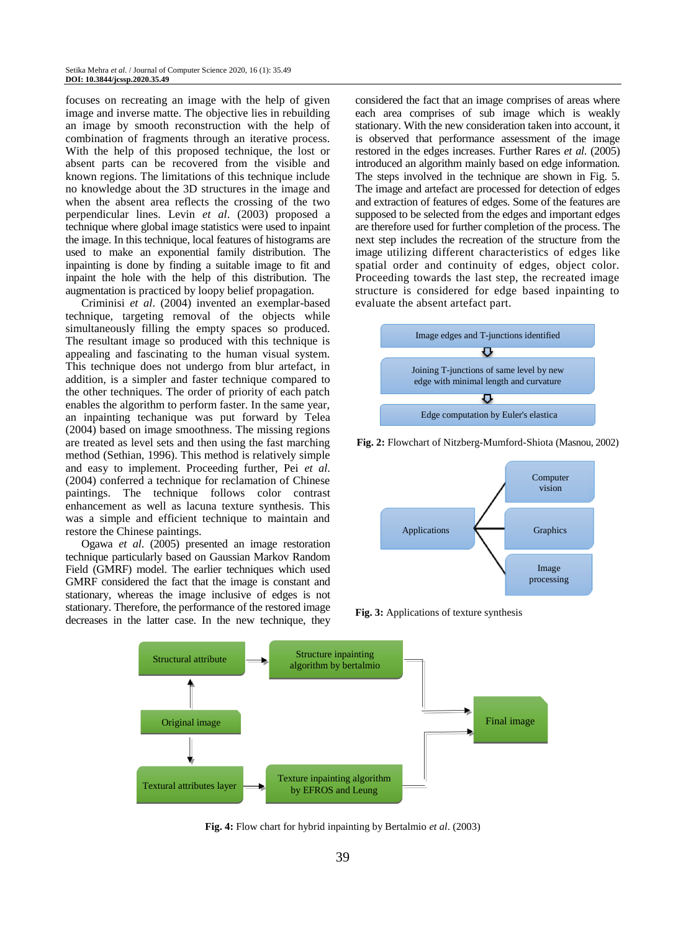focuses on recreating an image with the help of given image and inverse matte. The objective lies in rebuilding an image by smooth reconstruction with the help of combination of fragments through an iterative process. With the help of this proposed technique, the lost or absent parts can be recovered from the visible and known regions. The limitations of this technique include no knowledge about the 3D structures in the image and when the absent area reflects the crossing of the two perpendicular lines. Levin *et al*. (2003) proposed a technique where global image statistics were used to inpaint the image. In this technique, local features of histograms are used to make an exponential family distribution. The inpainting is done by finding a suitable image to fit and inpaint the hole with the help of this distribution. The augmentation is practiced by loopy belief propagation.

Criminisi *et al*. (2004) invented an exemplar-based technique, targeting removal of the objects while simultaneously filling the empty spaces so produced. The resultant image so produced with this technique is appealing and fascinating to the human visual system. This technique does not undergo from blur artefact, in addition, is a simpler and faster technique compared to the other techniques. The order of priority of each patch enables the algorithm to perform faster. In the same year, an inpainting techanique was put forward by Telea (2004) based on image smoothness. The missing regions are treated as level sets and then using the fast marching method (Sethian, 1996). This method is relatively simple and easy to implement. Proceeding further, Pei *et al*. (2004) conferred a technique for reclamation of Chinese paintings. The technique follows color contrast enhancement as well as lacuna texture synthesis. This was a simple and efficient technique to maintain and restore the Chinese paintings.

Ogawa *et al*. (2005) presented an image restoration technique particularly based on Gaussian Markov Random Field (GMRF) model. The earlier techniques which used GMRF considered the fact that the image is constant and stationary, whereas the image inclusive of edges is not stationary. Therefore, the performance of the restored image decreases in the latter case. In the new technique, they

considered the fact that an image comprises of areas where each area comprises of sub image which is weakly stationary. With the new consideration taken into account, it is observed that performance assessment of the image restored in the edges increases. Further Rares *et al*. (2005) introduced an algorithm mainly based on edge information. The steps involved in the technique are shown in Fig. 5. The image and artefact are processed for detection of edges and extraction of features of edges. Some of the features are supposed to be selected from the edges and important edges are therefore used for further completion of the process. The next step includes the recreation of the structure from the image utilizing different characteristics of edges like spatial order and continuity of edges, object color. Proceeding towards the last step, the recreated image structure is considered for edge based inpainting to evaluate the absent artefact part.



**Fig. 2:** Flowchart of Nitzberg-Mumford-Shiota (Masnou, 2002)



**Fig. 3:** Applications of texture synthesis



**Fig. 4:** Flow chart for hybrid inpainting by Bertalmio *et al*. (2003)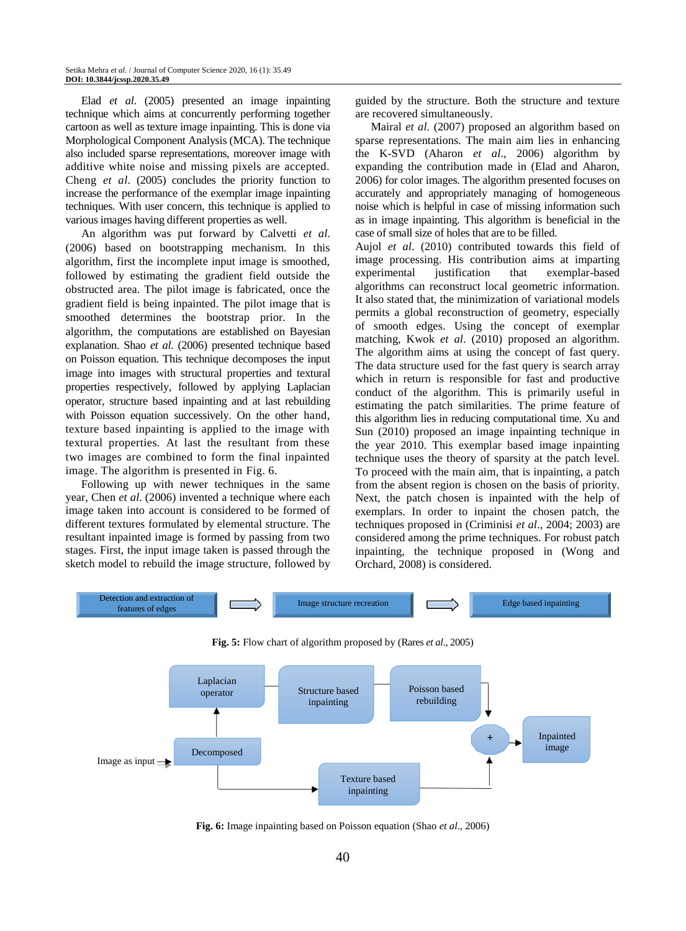Elad *et al*. (2005) presented an image inpainting technique which aims at concurrently performing together cartoon as well as texture image inpainting. This is done via Morphological Component Analysis (MCA). The technique also included sparse representations, moreover image with additive white noise and missing pixels are accepted. Cheng *et al*. (2005) concludes the priority function to increase the performance of the exemplar image inpainting techniques. With user concern, this technique is applied to various images having different properties as well.

An algorithm was put forward by Calvetti *et al*. (2006) based on bootstrapping mechanism. In this algorithm, first the incomplete input image is smoothed, followed by estimating the gradient field outside the obstructed area. The pilot image is fabricated, once the gradient field is being inpainted. The pilot image that is smoothed determines the bootstrap prior. In the algorithm, the computations are established on Bayesian explanation. Shao *et al*. (2006) presented technique based on Poisson equation. This technique decomposes the input image into images with structural properties and textural properties respectively, followed by applying Laplacian operator, structure based inpainting and at last rebuilding with Poisson equation successively. On the other hand, texture based inpainting is applied to the image with textural properties. At last the resultant from these two images are combined to form the final inpainted image. The algorithm is presented in Fig. 6.

Following up with newer techniques in the same year, Chen *et al*. (2006) invented a technique where each image taken into account is considered to be formed of different textures formulated by elemental structure. The resultant inpainted image is formed by passing from two stages. First, the input image taken is passed through the sketch model to rebuild the image structure, followed by guided by the structure. Both the structure and texture are recovered simultaneously.

Mairal *et al*. (2007) proposed an algorithm based on sparse representations. The main aim lies in enhancing the K-SVD (Aharon *et al*., 2006) algorithm by expanding the contribution made in (Elad and Aharon, 2006) for color images. The algorithm presented focuses on accurately and appropriately managing of homogeneous noise which is helpful in case of missing information such as in image inpainting. This algorithm is beneficial in the case of small size of holes that are to be filled.

Aujol *et al*. (2010) contributed towards this field of image processing. His contribution aims at imparting experimental justification that exemplar-based algorithms can reconstruct local geometric information. It also stated that, the minimization of variational models permits a global reconstruction of geometry, especially of smooth edges. Using the concept of exemplar matching, Kwok *et al*. (2010) proposed an algorithm. The algorithm aims at using the concept of fast query. The data structure used for the fast query is search array which in return is responsible for fast and productive conduct of the algorithm. This is primarily useful in estimating the patch similarities. The prime feature of this algorithm lies in reducing computational time. Xu and Sun (2010) proposed an image inpainting technique in the year 2010. This exemplar based image inpainting technique uses the theory of sparsity at the patch level. To proceed with the main aim, that is inpainting, a patch from the absent region is chosen on the basis of priority. Next, the patch chosen is inpainted with the help of exemplars. In order to inpaint the chosen patch, the techniques proposed in (Criminisi *et al*., 2004; 2003) are considered among the prime techniques. For robust patch inpainting, the technique proposed in (Wong and Orchard, 2008) is considered.







**Fig. 6:** Image inpainting based on Poisson equation (Shao *et al*., 2006)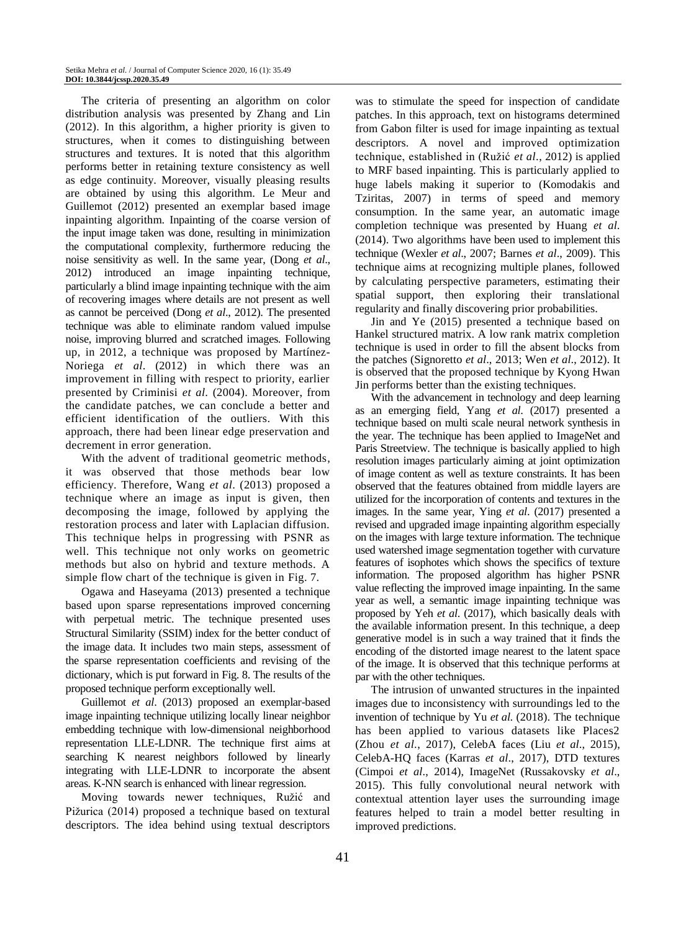The criteria of presenting an algorithm on color distribution analysis was presented by Zhang and Lin (2012). In this algorithm, a higher priority is given to structures, when it comes to distinguishing between structures and textures. It is noted that this algorithm performs better in retaining texture consistency as well as edge continuity. Moreover, visually pleasing results are obtained by using this algorithm. Le Meur and Guillemot (2012) presented an exemplar based image inpainting algorithm. Inpainting of the coarse version of the input image taken was done, resulting in minimization the computational complexity, furthermore reducing the noise sensitivity as well. In the same year, (Dong *et al*., 2012) introduced an image inpainting technique, particularly a blind image inpainting technique with the aim of recovering images where details are not present as well as cannot be perceived (Dong *et al*., 2012). The presented technique was able to eliminate random valued impulse noise, improving blurred and scratched images. Following up, in 2012, a technique was proposed by Martínez-Noriega *et al*. (2012) in which there was an improvement in filling with respect to priority, earlier presented by Criminisi *et al*. (2004). Moreover, from the candidate patches, we can conclude a better and efficient identification of the outliers. With this approach, there had been linear edge preservation and decrement in error generation.

With the advent of traditional geometric methods, it was observed that those methods bear low efficiency. Therefore, Wang *et al*. (2013) proposed a technique where an image as input is given, then decomposing the image, followed by applying the restoration process and later with Laplacian diffusion. This technique helps in progressing with PSNR as well. This technique not only works on geometric methods but also on hybrid and texture methods. A simple flow chart of the technique is given in Fig. 7.

Ogawa and Haseyama (2013) presented a technique based upon sparse representations improved concerning with perpetual metric. The technique presented uses Structural Similarity (SSIM) index for the better conduct of the image data. It includes two main steps, assessment of the sparse representation coefficients and revising of the dictionary, which is put forward in Fig. 8. The results of the proposed technique perform exceptionally well.

Guillemot *et al*. (2013) proposed an exemplar-based image inpainting technique utilizing locally linear neighbor embedding technique with low-dimensional neighborhood representation LLE-LDNR. The technique first aims at searching K nearest neighbors followed by linearly integrating with LLE-LDNR to incorporate the absent areas. K-NN search is enhanced with linear regression.

Moving towards newer techniques, Ružić and Pižurica (2014) proposed a technique based on textural descriptors. The idea behind using textual descriptors was to stimulate the speed for inspection of candidate patches. In this approach, text on histograms determined from Gabon filter is used for image inpainting as textual descriptors. A novel and improved optimization technique, established in (Ružić *et al*., 2012) is applied to MRF based inpainting. This is particularly applied to huge labels making it superior to (Komodakis and Tziritas, 2007) in terms of speed and memory consumption. In the same year, an automatic image completion technique was presented by Huang *et al*. (2014). Two algorithms have been used to implement this technique (Wexler *et al*., 2007; Barnes *et al*., 2009). This technique aims at recognizing multiple planes, followed by calculating perspective parameters, estimating their spatial support, then exploring their translational regularity and finally discovering prior probabilities.

Jin and Ye (2015) presented a technique based on Hankel structured matrix. A low rank matrix completion technique is used in order to fill the absent blocks from the patches (Signoretto *et al*., 2013; Wen *et al*., 2012). It is observed that the proposed technique by Kyong Hwan Jin performs better than the existing techniques.

With the advancement in technology and deep learning as an emerging field, Yang *et al*. (2017) presented a technique based on multi scale neural network synthesis in the year. The technique has been applied to ImageNet and Paris Streetview. The technique is basically applied to high resolution images particularly aiming at joint optimization of image content as well as texture constraints. It has been observed that the features obtained from middle layers are utilized for the incorporation of contents and textures in the images. In the same year, Ying *et al*. (2017) presented a revised and upgraded image inpainting algorithm especially on the images with large texture information. The technique used watershed image segmentation together with curvature features of isophotes which shows the specifics of texture information. The proposed algorithm has higher PSNR value reflecting the improved image inpainting. In the same year as well, a semantic image inpainting technique was proposed by Yeh *et al*. (2017), which basically deals with the available information present. In this technique, a deep generative model is in such a way trained that it finds the encoding of the distorted image nearest to the latent space of the image. It is observed that this technique performs at par with the other techniques.

The intrusion of unwanted structures in the inpainted images due to inconsistency with surroundings led to the invention of technique by Yu *et al*. (2018). The technique has been applied to various datasets like Places2 (Zhou *et al*., 2017), CelebA faces (Liu *et al*., 2015), CelebA-HQ faces (Karras *et al*., 2017), DTD textures (Cimpoi *et al*., 2014), ImageNet (Russakovsky *et al*., 2015). This fully convolutional neural network with contextual attention layer uses the surrounding image features helped to train a model better resulting in improved predictions.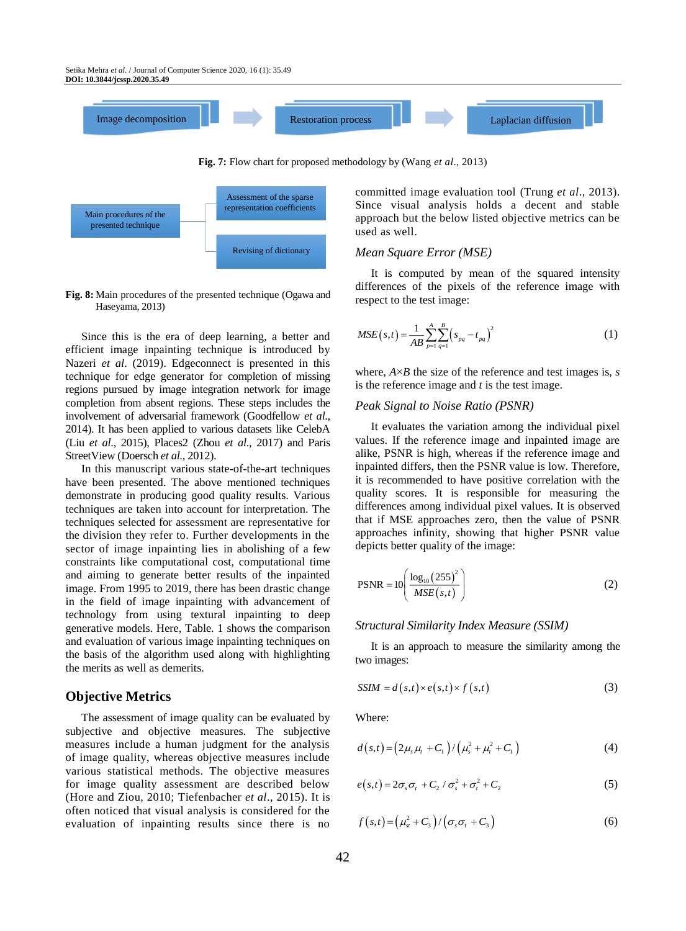

**Fig. 7:** Flow chart for proposed methodology by (Wang *et al*., 2013)



**Fig. 8:** Main procedures of the presented technique (Ogawa and Haseyama, 2013)

Since this is the era of deep learning, a better and efficient image inpainting technique is introduced by Nazeri *et al*. (2019). Edgeconnect is presented in this technique for edge generator for completion of missing regions pursued by image integration network for image completion from absent regions. These steps includes the involvement of adversarial framework (Goodfellow *et al*., 2014). It has been applied to various datasets like CelebA (Liu *et al*., 2015), Places2 (Zhou *et al*., 2017) and Paris StreetView (Doersch *et al*., 2012).

In this manuscript various state-of-the-art techniques have been presented. The above mentioned techniques demonstrate in producing good quality results. Various techniques are taken into account for interpretation. The techniques selected for assessment are representative for the division they refer to. Further developments in the sector of image inpainting lies in abolishing of a few constraints like computational cost, computational time and aiming to generate better results of the inpainted image. From 1995 to 2019, there has been drastic change in the field of image inpainting with advancement of technology from using textural inpainting to deep generative models. Here, Table. 1 shows the comparison and evaluation of various image inpainting techniques on the basis of the algorithm used along with highlighting the merits as well as demerits.

#### **Objective Metrics**

The assessment of image quality can be evaluated by subjective and objective measures. The subjective measures include a human judgment for the analysis of image quality, whereas objective measures include various statistical methods. The objective measures for image quality assessment are described below (Hore and Ziou, 2010; Tiefenbacher *et al*., 2015). It is often noticed that visual analysis is considered for the evaluation of inpainting results since there is no committed image evaluation tool (Trung *et al*., 2013). Since visual analysis holds a decent and stable approach but the below listed objective metrics can be used as well.

#### *Mean Square Error (MSE)*

It is computed by mean of the squared intensity differences of the pixels of the reference image with respect to the test image:

$$
MSE(s,t) = \frac{1}{AB} \sum_{p=1}^{A} \sum_{q=1}^{B} (s_{pq} - t_{pq})^2
$$
 (1)

where,  $A \times B$  the size of the reference and test images is, *s* is the reference image and *t* is the test image.

#### *Peak Signal to Noise Ratio (PSNR)*

It evaluates the variation among the individual pixel values. If the reference image and inpainted image are alike, PSNR is high, whereas if the reference image and inpainted differs, then the PSNR value is low. Therefore, it is recommended to have positive correlation with the quality scores. It is responsible for measuring the differences among individual pixel values. It is observed that if MSE approaches zero, then the value of PSNR approaches infinity, showing that higher PSNR value depicts better quality of the image:

$$
PSNR = 10 \left( \frac{\log_{10} (255)^2}{MSE(s,t)} \right) \tag{2}
$$

#### *Structural Similarity Index Measure (SSIM)*

It is an approach to measure the similarity among the two images:

$$
SSIM = d(s,t) \times e(s,t) \times f(s,t)
$$
\n(3)

Where:

$$
d(s,t) = (2\mu_s\mu_t + C_1) / (\mu_s^2 + \mu_t^2 + C_1)
$$
 (4)

$$
e(s,t) = 2\sigma_s \sigma_t + C_2 / \sigma_s^2 + \sigma_t^2 + C_2
$$
 (5)

$$
f(s,t) = \left(\mu_{st}^2 + C_3\right) / \left(\sigma_s \sigma_t + C_3\right) \tag{6}
$$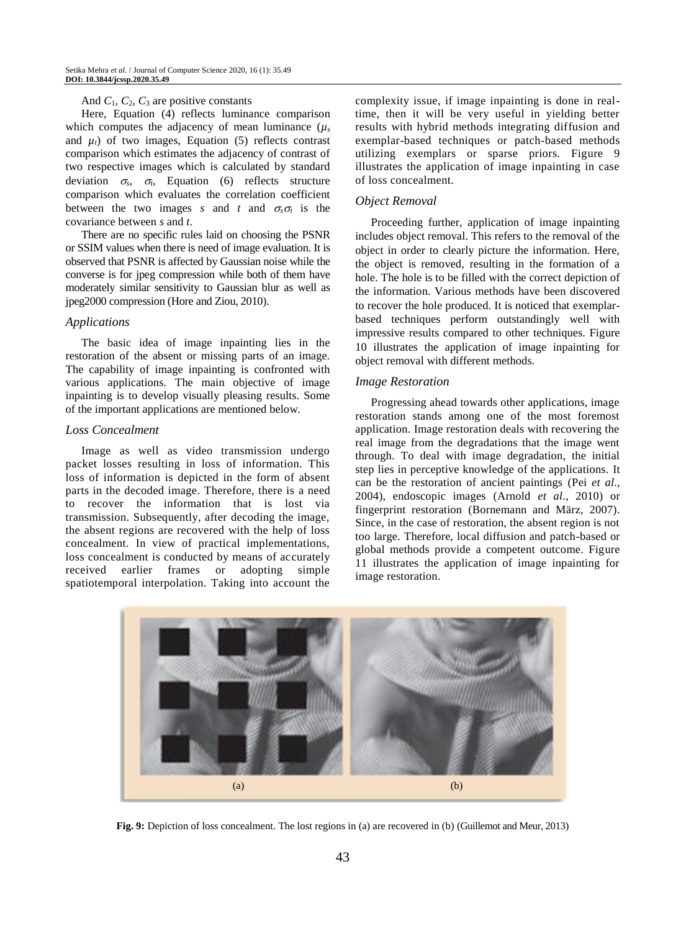#### And *C*1, *C*2, *C*<sup>3</sup> are positive constants

Here, Equation (4) reflects luminance comparison which computes the adjacency of mean luminance  $(\mu_s)$ and  $\mu_t$ ) of two images, Equation (5) reflects contrast comparison which estimates the adjacency of contrast of two respective images which is calculated by standard deviation  $\sigma_s$ ,  $\sigma_t$ , Equation (6) reflects structure comparison which evaluates the correlation coefficient between the two images *s* and *t* and  $\sigma_s \sigma_t$  is the covariance between *s* and *t*.

There are no specific rules laid on choosing the PSNR or SSIM values when there is need of image evaluation. It is observed that PSNR is affected by Gaussian noise while the converse is for jpeg compression while both of them have moderately similar sensitivity to Gaussian blur as well as jpeg2000 compression (Hore and Ziou, 2010).

#### *Applications*

The basic idea of image inpainting lies in the restoration of the absent or missing parts of an image. The capability of image inpainting is confronted with various applications. The main objective of image inpainting is to develop visually pleasing results. Some of the important applications are mentioned below.

#### *Loss Concealment*

Image as well as video transmission undergo packet losses resulting in loss of information. This loss of information is depicted in the form of absent parts in the decoded image. Therefore, there is a need to recover the information that is lost via transmission. Subsequently, after decoding the image, the absent regions are recovered with the help of loss concealment. In view of practical implementations, loss concealment is conducted by means of accurately received earlier frames or adopting simple spatiotemporal interpolation. Taking into account the complexity issue, if image inpainting is done in realtime, then it will be very useful in yielding better results with hybrid methods integrating diffusion and exemplar-based techniques or patch-based methods utilizing exemplars or sparse priors. Figure 9 illustrates the application of image inpainting in case of loss concealment.

#### *Object Removal*

Proceeding further, application of image inpainting includes object removal. This refers to the removal of the object in order to clearly picture the information. Here, the object is removed, resulting in the formation of a hole. The hole is to be filled with the correct depiction of the information. Various methods have been discovered to recover the hole produced. It is noticed that exemplarbased techniques perform outstandingly well with impressive results compared to other techniques. Figure 10 illustrates the application of image inpainting for object removal with different methods.

#### *Image Restoration*

Progressing ahead towards other applications, image restoration stands among one of the most foremost application. Image restoration deals with recovering the real image from the degradations that the image went through. To deal with image degradation, the initial step lies in perceptive knowledge of the applications. It can be the restoration of ancient paintings (Pei *et al*., 2004), endoscopic images (Arnold *et al*., 2010) or fingerprint restoration (Bornemann and März, 2007). Since, in the case of restoration, the absent region is not too large. Therefore, local diffusion and patch-based or global methods provide a competent outcome. Figure 11 illustrates the application of image inpainting for image restoration.



**Fig. 9:** Depiction of loss concealment. The lost regions in (a) are recovered in (b) (Guillemot and Meur, 2013)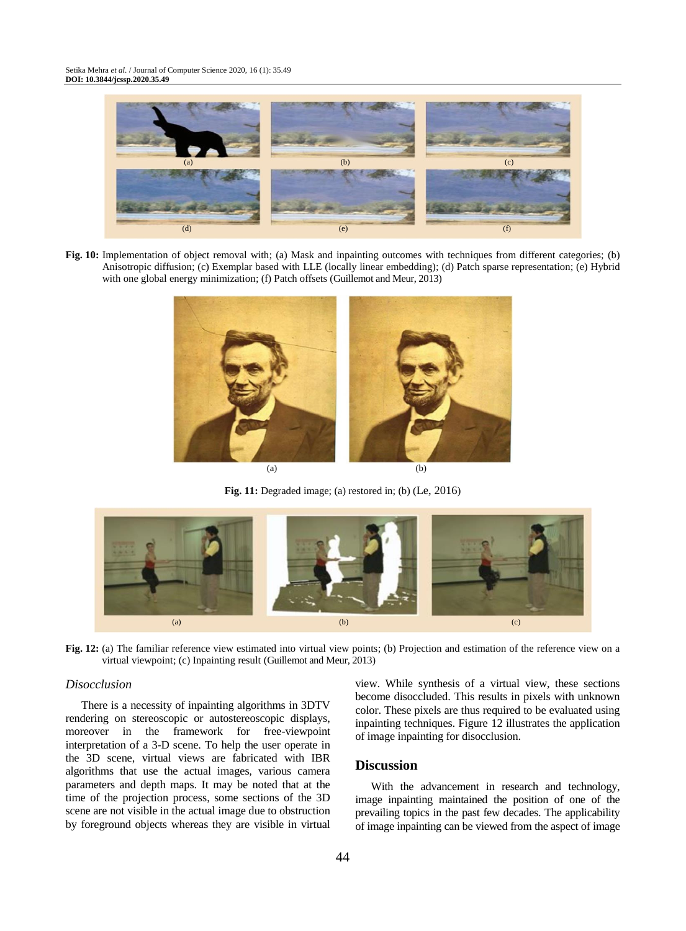

**Fig. 10:** Implementation of object removal with; (a) Mask and inpainting outcomes with techniques from different categories; (b) Anisotropic diffusion; (c) Exemplar based with LLE (locally linear embedding); (d) Patch sparse representation; (e) Hybrid with one global energy minimization; (f) Patch offsets (Guillemot and Meur, 2013)



**Fig. 11:** Degraded image; (a) restored in; (b) (Le, 2016)



**Fig. 12:** (a) The familiar reference view estimated into virtual view points; (b) Projection and estimation of the reference view on a virtual viewpoint; (c) Inpainting result (Guillemot and Meur, 2013)

#### *Disocclusion*

There is a necessity of inpainting algorithms in 3DTV rendering on stereoscopic or autostereoscopic displays, moreover in the framework for free-viewpoint interpretation of a 3-D scene. To help the user operate in the 3D scene, virtual views are fabricated with IBR algorithms that use the actual images, various camera parameters and depth maps. It may be noted that at the time of the projection process, some sections of the 3D scene are not visible in the actual image due to obstruction by foreground objects whereas they are visible in virtual

view. While synthesis of a virtual view, these sections become disoccluded. This results in pixels with unknown color. These pixels are thus required to be evaluated using inpainting techniques. Figure 12 illustrates the application of image inpainting for disocclusion.

## **Discussion**

With the advancement in research and technology, image inpainting maintained the position of one of the prevailing topics in the past few decades. The applicability of image inpainting can be viewed from the aspect of image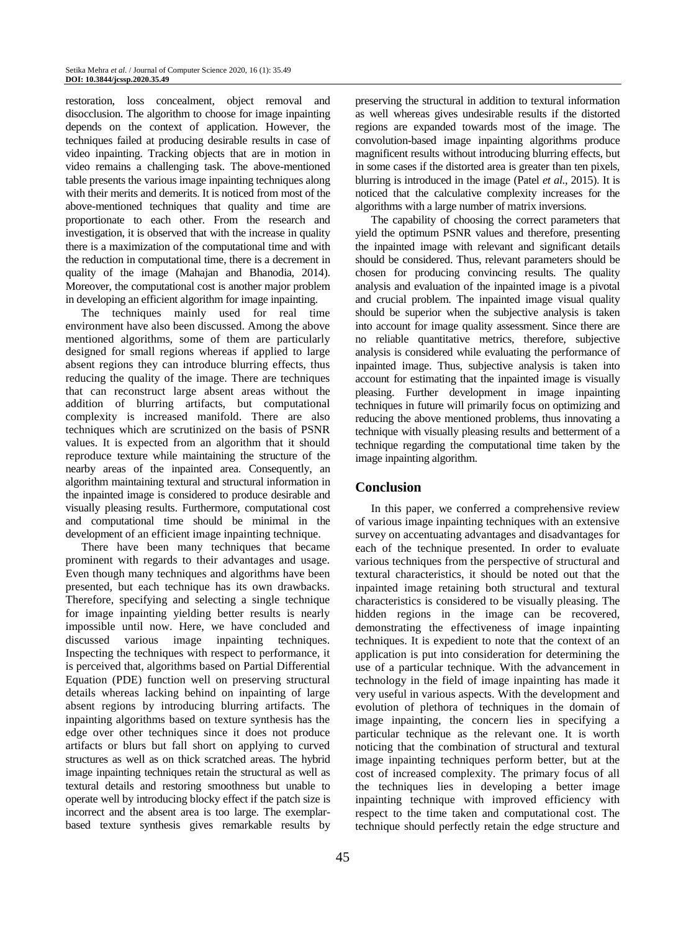restoration, loss concealment, object removal and disocclusion. The algorithm to choose for image inpainting depends on the context of application. However, the techniques failed at producing desirable results in case of video inpainting. Tracking objects that are in motion in video remains a challenging task. The above-mentioned table presents the various image inpainting techniques along with their merits and demerits. It is noticed from most of the above-mentioned techniques that quality and time are proportionate to each other. From the research and investigation, it is observed that with the increase in quality there is a maximization of the computational time and with the reduction in computational time, there is a decrement in quality of the image (Mahajan and Bhanodia, 2014). Moreover, the computational cost is another major problem in developing an efficient algorithm for image inpainting.

The techniques mainly used for real time environment have also been discussed. Among the above mentioned algorithms, some of them are particularly designed for small regions whereas if applied to large absent regions they can introduce blurring effects, thus reducing the quality of the image. There are techniques that can reconstruct large absent areas without the addition of blurring artifacts, but computational complexity is increased manifold. There are also techniques which are scrutinized on the basis of PSNR values. It is expected from an algorithm that it should reproduce texture while maintaining the structure of the nearby areas of the inpainted area. Consequently, an algorithm maintaining textural and structural information in the inpainted image is considered to produce desirable and visually pleasing results. Furthermore, computational cost and computational time should be minimal in the development of an efficient image inpainting technique.

There have been many techniques that became prominent with regards to their advantages and usage. Even though many techniques and algorithms have been presented, but each technique has its own drawbacks. Therefore, specifying and selecting a single technique for image inpainting yielding better results is nearly impossible until now. Here, we have concluded and discussed various image inpainting techniques. Inspecting the techniques with respect to performance, it is perceived that, algorithms based on Partial Differential Equation (PDE) function well on preserving structural details whereas lacking behind on inpainting of large absent regions by introducing blurring artifacts. The inpainting algorithms based on texture synthesis has the edge over other techniques since it does not produce artifacts or blurs but fall short on applying to curved structures as well as on thick scratched areas. The hybrid image inpainting techniques retain the structural as well as textural details and restoring smoothness but unable to operate well by introducing blocky effect if the patch size is incorrect and the absent area is too large. The exemplarbased texture synthesis gives remarkable results by

preserving the structural in addition to textural information as well whereas gives undesirable results if the distorted regions are expanded towards most of the image. The convolution-based image inpainting algorithms produce magnificent results without introducing blurring effects, but in some cases if the distorted area is greater than ten pixels, blurring is introduced in the image (Patel *et al*., 2015). It is noticed that the calculative complexity increases for the algorithms with a large number of matrix inversions.

The capability of choosing the correct parameters that yield the optimum PSNR values and therefore, presenting the inpainted image with relevant and significant details should be considered. Thus, relevant parameters should be chosen for producing convincing results. The quality analysis and evaluation of the inpainted image is a pivotal and crucial problem. The inpainted image visual quality should be superior when the subjective analysis is taken into account for image quality assessment. Since there are no reliable quantitative metrics, therefore, subjective analysis is considered while evaluating the performance of inpainted image. Thus, subjective analysis is taken into account for estimating that the inpainted image is visually pleasing. Further development in image inpainting techniques in future will primarily focus on optimizing and reducing the above mentioned problems, thus innovating a technique with visually pleasing results and betterment of a technique regarding the computational time taken by the image inpainting algorithm.

## **Conclusion**

In this paper, we conferred a comprehensive review of various image inpainting techniques with an extensive survey on accentuating advantages and disadvantages for each of the technique presented. In order to evaluate various techniques from the perspective of structural and textural characteristics, it should be noted out that the inpainted image retaining both structural and textural characteristics is considered to be visually pleasing. The hidden regions in the image can be recovered, demonstrating the effectiveness of image inpainting techniques. It is expedient to note that the context of an application is put into consideration for determining the use of a particular technique. With the advancement in technology in the field of image inpainting has made it very useful in various aspects. With the development and evolution of plethora of techniques in the domain of image inpainting, the concern lies in specifying a particular technique as the relevant one. It is worth noticing that the combination of structural and textural image inpainting techniques perform better, but at the cost of increased complexity. The primary focus of all the techniques lies in developing a better image inpainting technique with improved efficiency with respect to the time taken and computational cost. The technique should perfectly retain the edge structure and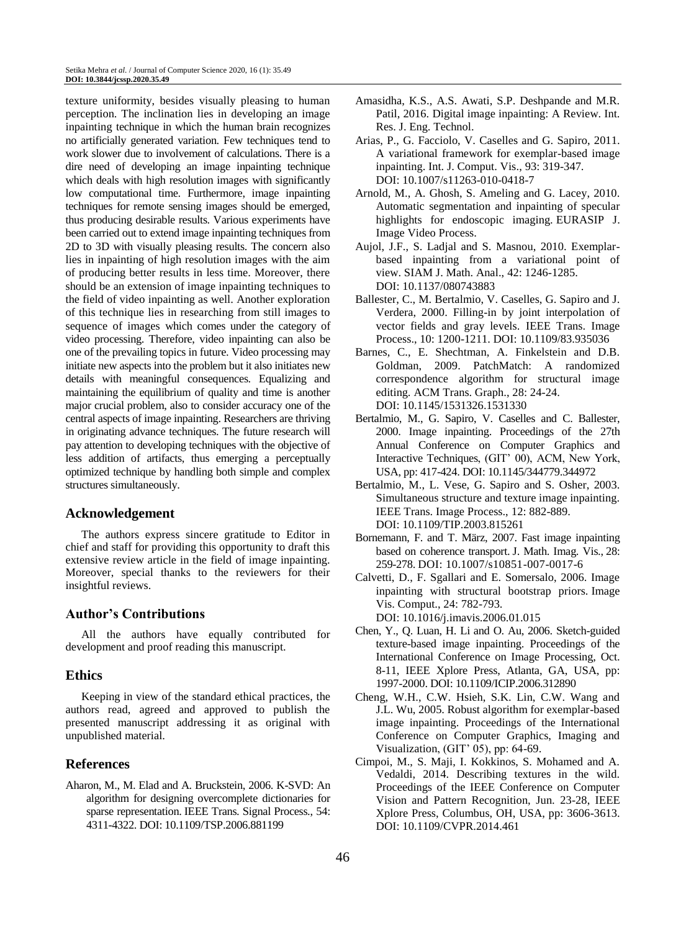texture uniformity, besides visually pleasing to human perception. The inclination lies in developing an image inpainting technique in which the human brain recognizes no artificially generated variation. Few techniques tend to work slower due to involvement of calculations. There is a dire need of developing an image inpainting technique which deals with high resolution images with significantly low computational time. Furthermore, image inpainting techniques for remote sensing images should be emerged, thus producing desirable results. Various experiments have been carried out to extend image inpainting techniques from 2D to 3D with visually pleasing results. The concern also lies in inpainting of high resolution images with the aim of producing better results in less time. Moreover, there should be an extension of image inpainting techniques to the field of video inpainting as well. Another exploration of this technique lies in researching from still images to sequence of images which comes under the category of video processing. Therefore, video inpainting can also be one of the prevailing topics in future. Video processing may initiate new aspects into the problem but it also initiates new details with meaningful consequences. Equalizing and maintaining the equilibrium of quality and time is another major crucial problem, also to consider accuracy one of the central aspects of image inpainting. Researchers are thriving in originating advance techniques. The future research will pay attention to developing techniques with the objective of less addition of artifacts, thus emerging a perceptually optimized technique by handling both simple and complex structures simultaneously.

## **Acknowledgement**

The authors express sincere gratitude to Editor in chief and staff for providing this opportunity to draft this extensive review article in the field of image inpainting. Moreover, special thanks to the reviewers for their insightful reviews.

## **Author's Contributions**

All the authors have equally contributed for development and proof reading this manuscript.

#### **Ethics**

Keeping in view of the standard ethical practices, the authors read, agreed and approved to publish the presented manuscript addressing it as original with unpublished material.

### **References**

Aharon, M., M. Elad and A. Bruckstein, 2006. K-SVD: An algorithm for designing overcomplete dictionaries for sparse representation. IEEE Trans. Signal Process., 54: 4311-4322. DOI: 10.1109/TSP.2006.881199

- Amasidha, K.S., A.S. Awati, S.P. Deshpande and M.R. Patil, 2016. Digital image inpainting: A Review. Int. Res. J. Eng. Technol.
- Arias, P., G. Facciolo, V. Caselles and G. Sapiro, 2011. A variational framework for exemplar-based image inpainting. Int. J. Comput. Vis., 93: 319-347. DOI: 10.1007/s11263-010-0418-7
- Arnold, M., A. Ghosh, S. Ameling and G. Lacey, 2010. Automatic segmentation and inpainting of specular highlights for endoscopic imaging. EURASIP J. Image Video Process.
- Aujol, J.F., S. Ladjal and S. Masnou, 2010. Exemplarbased inpainting from a variational point of view. SIAM J. Math. Anal., 42: 1246-1285. DOI: 10.1137/080743883
- Ballester, C., M. Bertalmio, V. Caselles, G. Sapiro and J. Verdera, 2000. Filling-in by joint interpolation of vector fields and gray levels. IEEE Trans. Image Process., 10: 1200-1211. DOI: 10.1109/83.935036
- Barnes, C., E. Shechtman, A. Finkelstein and D.B. Goldman, 2009. PatchMatch: A randomized correspondence algorithm for structural image editing. ACM Trans. Graph., 28: 24-24. DOI: 10.1145/1531326.1531330
- Bertalmio, M., G. Sapiro, V. Caselles and C. Ballester, 2000. Image inpainting. Proceedings of the 27th Annual Conference on Computer Graphics and Interactive Techniques, (GIT' 00), ACM, New York, USA, pp: 417-424. DOI: 10.1145/344779.344972
- Bertalmio, M., L. Vese, G. Sapiro and S. Osher, 2003. Simultaneous structure and texture image inpainting. IEEE Trans. Image Process., 12: 882-889. DOI: 10.1109/TIP.2003.815261
- Bornemann, F. and T. März, 2007. Fast image inpainting based on coherence transport. J. Math. Imag. Vis., 28: 259-278. DOI: 10.1007/s10851-007-0017-6
- Calvetti, D., F. Sgallari and E. Somersalo, 2006. Image inpainting with structural bootstrap priors. Image Vis. Comput., 24: 782-793. DOI: 10.1016/j.imavis.2006.01.015
- Chen, Y., Q. Luan, H. Li and O. Au, 2006. Sketch-guided texture-based image inpainting. Proceedings of the International Conference on Image Processing, Oct. 8-11, IEEE Xplore Press, Atlanta, GA, USA, pp: 1997-2000. DOI: 10.1109/ICIP.2006.312890
- Cheng, W.H., C.W. Hsieh, S.K. Lin, C.W. Wang and J.L. Wu, 2005. Robust algorithm for exemplar-based image inpainting. Proceedings of the International Conference on Computer Graphics, Imaging and Visualization, (GIT' 05), pp: 64-69.
- Cimpoi, M., S. Maji, I. Kokkinos, S. Mohamed and A. Vedaldi, 2014. Describing textures in the wild. Proceedings of the IEEE Conference on Computer Vision and Pattern Recognition, Jun. 23-28, IEEE Xplore Press, Columbus, OH, USA, pp: 3606-3613. DOI: 10.1109/CVPR.2014.461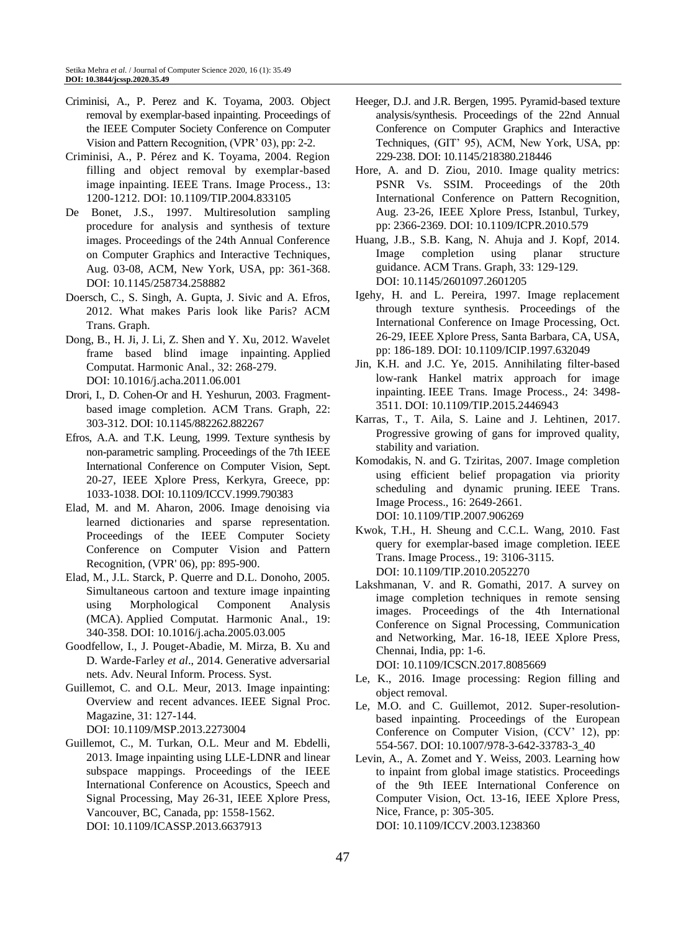- Criminisi, A., P. Perez and K. Toyama, 2003. Object removal by exemplar-based inpainting. Proceedings of the IEEE Computer Society Conference on Computer Vision and Pattern Recognition, (VPR' 03), pp: 2-2.
- Criminisi, A., P. Pérez and K. Toyama, 2004. Region filling and object removal by exemplar-based image inpainting. IEEE Trans. Image Process., 13: 1200-1212. DOI: 10.1109/TIP.2004.833105
- De Bonet, J.S., 1997. Multiresolution sampling procedure for analysis and synthesis of texture images. Proceedings of the 24th Annual Conference on Computer Graphics and Interactive Techniques, Aug. 03-08, ACM, New York, USA, pp: 361-368. DOI: 10.1145/258734.258882
- Doersch, C., S. Singh, A. Gupta, J. Sivic and A. Efros, 2012. What makes Paris look like Paris? ACM Trans. Graph.
- Dong, B., H. Ji, J. Li, Z. Shen and Y. Xu, 2012. Wavelet frame based blind image inpainting. Applied Computat. Harmonic Anal., 32: 268-279. DOI: 10.1016/j.acha.2011.06.001
- Drori, I., D. Cohen-Or and H. Yeshurun, 2003. Fragmentbased image completion. ACM Trans. Graph, 22: 303-312. DOI: 10.1145/882262.882267
- Efros, A.A. and T.K. Leung, 1999. Texture synthesis by non-parametric sampling. Proceedings of the 7th IEEE International Conference on Computer Vision, Sept. 20-27, IEEE Xplore Press, Kerkyra, Greece, pp: 1033-1038. DOI: 10.1109/ICCV.1999.790383
- Elad, M. and M. Aharon, 2006. Image denoising via learned dictionaries and sparse representation. Proceedings of the IEEE Computer Society Conference on Computer Vision and Pattern Recognition, (VPR' 06), pp: 895-900.
- Elad, M., J.L. Starck, P. Querre and D.L. Donoho, 2005. Simultaneous cartoon and texture image inpainting using Morphological Component Analysis (MCA). Applied Computat. Harmonic Anal., 19: 340-358. DOI: 10.1016/j.acha.2005.03.005
- Goodfellow, I., J. Pouget-Abadie, M. Mirza, B. Xu and D. Warde-Farley *et al*., 2014. Generative adversarial nets. Adv. Neural Inform. Process. Syst.
- Guillemot, C. and O.L. Meur, 2013. Image inpainting: Overview and recent advances. IEEE Signal Proc. Magazine, 31: 127-144. DOI: 10.1109/MSP.2013.2273004

Guillemot, C., M. Turkan, O.L. Meur and M. Ebdelli, 2013. Image inpainting using LLE-LDNR and linear subspace mappings. Proceedings of the IEEE International Conference on Acoustics, Speech and Signal Processing, May 26-31, IEEE Xplore Press, Vancouver, BC, Canada, pp: 1558-1562. DOI: 10.1109/ICASSP.2013.6637913

- Heeger, D.J. and J.R. Bergen, 1995. Pyramid-based texture analysis/synthesis. Proceedings of the 22nd Annual Conference on Computer Graphics and Interactive Techniques, (GIT' 95), ACM, New York, USA, pp: 229-238. DOI: 10.1145/218380.218446
- Hore, A. and D. Ziou, 2010. Image quality metrics: PSNR Vs. SSIM. Proceedings of the 20th International Conference on Pattern Recognition, Aug. 23-26, IEEE Xplore Press, Istanbul, Turkey, pp: 2366-2369. DOI: 10.1109/ICPR.2010.579
- Huang, J.B., S.B. Kang, N. Ahuja and J. Kopf, 2014. Image completion using planar structure guidance. ACM Trans. Graph, 33: 129-129. DOI: 10.1145/2601097.2601205
- Igehy, H. and L. Pereira, 1997. Image replacement through texture synthesis. Proceedings of the International Conference on Image Processing, Oct. 26-29, IEEE Xplore Press, Santa Barbara, CA, USA, pp: 186-189. DOI: 10.1109/ICIP.1997.632049
- Jin, K.H. and J.C. Ye, 2015. Annihilating filter-based low-rank Hankel matrix approach for image inpainting. IEEE Trans. Image Process., 24: 3498- 3511. DOI: 10.1109/TIP.2015.2446943
- Karras, T., T. Aila, S. Laine and J. Lehtinen, 2017. Progressive growing of gans for improved quality, stability and variation.
- Komodakis, N. and G. Tziritas, 2007. Image completion using efficient belief propagation via priority scheduling and dynamic pruning. IEEE Trans. Image Process., 16: 2649-2661. DOI: 10.1109/TIP.2007.906269
- Kwok, T.H., H. Sheung and C.C.L. Wang, 2010. Fast query for exemplar-based image completion. IEEE Trans. Image Process., 19: 3106-3115. DOI: 10.1109/TIP.2010.2052270
- Lakshmanan, V. and R. Gomathi, 2017. A survey on image completion techniques in remote sensing images. Proceedings of the 4th International Conference on Signal Processing, Communication and Networking, Mar. 16-18, IEEE Xplore Press, Chennai, India, pp: 1-6. DOI: 10.1109/ICSCN.2017.8085669
- Le, K., 2016. Image processing: Region filling and object removal.
- Le, M.O. and C. Guillemot, 2012. Super-resolutionbased inpainting. Proceedings of the European Conference on Computer Vision, (CCV' 12), pp: 554-567. DOI: 10.1007/978-3-642-33783-3\_40
- Levin, A., A. Zomet and Y. Weiss, 2003. Learning how to inpaint from global image statistics. Proceedings of the 9th IEEE International Conference on Computer Vision, Oct. 13-16, IEEE Xplore Press, Nice, France, p: 305-305. DOI: 10.1109/ICCV.2003.1238360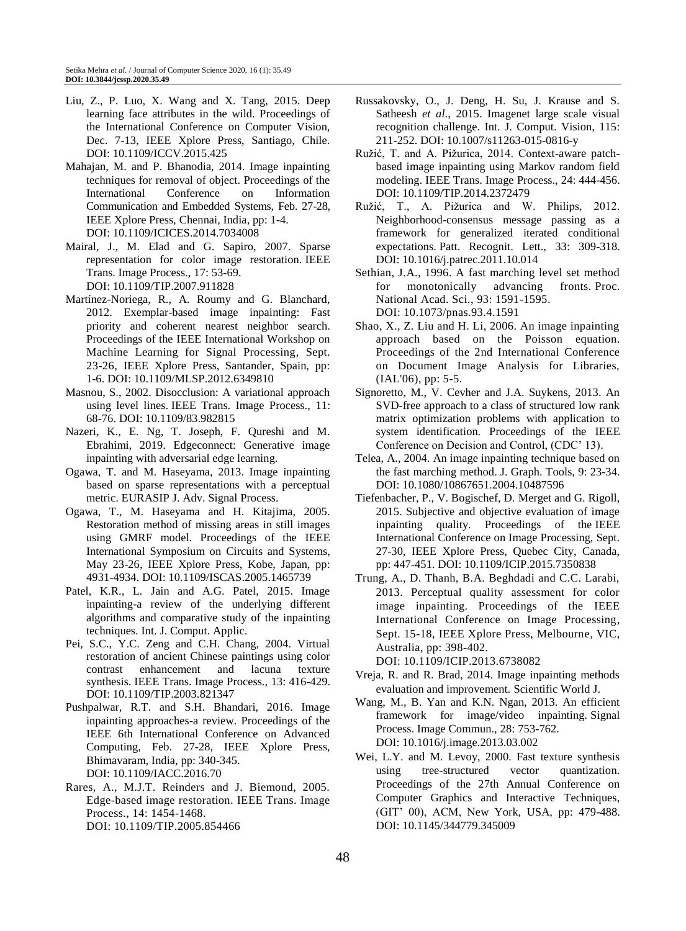- Liu, Z., P. Luo, X. Wang and X. Tang, 2015. Deep learning face attributes in the wild. Proceedings of the International Conference on Computer Vision, Dec. 7-13, IEEE Xplore Press, Santiago, Chile. DOI: 10.1109/ICCV.2015.425
- Mahajan, M. and P. Bhanodia, 2014. Image inpainting techniques for removal of object. Proceedings of the International Conference on Information Communication and Embedded Systems, Feb. 27-28, IEEE Xplore Press, Chennai, India, pp: 1-4. DOI: 10.1109/ICICES.2014.7034008
- Mairal, J., M. Elad and G. Sapiro, 2007. Sparse representation for color image restoration. IEEE Trans. Image Process., 17: 53-69. DOI: 10.1109/TIP.2007.911828
- Martínez-Noriega, R., A. Roumy and G. Blanchard, 2012. Exemplar-based image inpainting: Fast priority and coherent nearest neighbor search. Proceedings of the IEEE International Workshop on Machine Learning for Signal Processing, Sept. 23-26, IEEE Xplore Press, Santander, Spain, pp: 1-6. DOI: 10.1109/MLSP.2012.6349810
- Masnou, S., 2002. Disocclusion: A variational approach using level lines. IEEE Trans. Image Process., 11: 68-76. DOI: 10.1109/83.982815
- Nazeri, K., E. Ng, T. Joseph, F. Qureshi and M. Ebrahimi, 2019. Edgeconnect: Generative image inpainting with adversarial edge learning.
- Ogawa, T. and M. Haseyama, 2013. Image inpainting based on sparse representations with a perceptual metric. EURASIP J. Adv. Signal Process.
- Ogawa, T., M. Haseyama and H. Kitajima, 2005. Restoration method of missing areas in still images using GMRF model. Proceedings of the IEEE International Symposium on Circuits and Systems, May 23-26, IEEE Xplore Press, Kobe, Japan, pp: 4931-4934. DOI: 10.1109/ISCAS.2005.1465739
- Patel, K.R., L. Jain and A.G. Patel, 2015. Image inpainting-a review of the underlying different algorithms and comparative study of the inpainting techniques. Int. J. Comput. Applic.
- Pei, S.C., Y.C. Zeng and C.H. Chang, 2004. Virtual restoration of ancient Chinese paintings using color contrast enhancement and lacuna texture synthesis. IEEE Trans. Image Process., 13: 416-429. DOI: 10.1109/TIP.2003.821347
- Pushpalwar, R.T. and S.H. Bhandari, 2016. Image inpainting approaches-a review. Proceedings of the IEEE 6th International Conference on Advanced Computing, Feb. 27-28, IEEE Xplore Press, Bhimavaram, India, pp: 340-345. DOI: 10.1109/IACC.2016.70
- Rares, A., M.J.T. Reinders and J. Biemond, 2005. Edge-based image restoration. IEEE Trans. Image Process., 14: 1454-1468. DOI: 10.1109/TIP.2005.854466
- Russakovsky, O., J. Deng, H. Su, J. Krause and S. Satheesh *et al*., 2015. Imagenet large scale visual recognition challenge. Int. J. Comput. Vision, 115: 211-252. DOI: 10.1007/s11263-015-0816-y
- Ružić, T. and A. Pižurica, 2014. Context-aware patchbased image inpainting using Markov random field modeling. IEEE Trans. Image Process., 24: 444-456. DOI: 10.1109/TIP.2014.2372479
- Ružić, T., A. Pižurica and W. Philips, 2012. Neighborhood-consensus message passing as a framework for generalized iterated conditional expectations. Patt. Recognit. Lett., 33: 309-318. DOI: 10.1016/j.patrec.2011.10.014
- Sethian, J.A., 1996. A fast marching level set method for monotonically advancing fronts. Proc. National Acad. Sci., 93: 1591-1595. DOI: 10.1073/pnas.93.4.1591
- Shao, X., Z. Liu and H. Li, 2006. An image inpainting approach based on the Poisson equation. Proceedings of the 2nd International Conference on Document Image Analysis for Libraries, (IAL'06), pp: 5-5.
- Signoretto, M., V. Cevher and J.A. Suykens, 2013. An SVD-free approach to a class of structured low rank matrix optimization problems with application to system identification. Proceedings of the IEEE Conference on Decision and Control, (CDC' 13).
- Telea, A., 2004. An image inpainting technique based on the fast marching method. J. Graph. Tools, 9: 23-34. DOI: 10.1080/10867651.2004.10487596
- Tiefenbacher, P., V. Bogischef, D. Merget and G. Rigoll, 2015. Subjective and objective evaluation of image inpainting quality. Proceedings of the IEEE International Conference on Image Processing, Sept. 27-30, IEEE Xplore Press, Quebec City, Canada, pp: 447-451. DOI: 10.1109/ICIP.2015.7350838
- Trung, A., D. Thanh, B.A. Beghdadi and C.C. Larabi, 2013. Perceptual quality assessment for color image inpainting. Proceedings of the IEEE International Conference on Image Processing, Sept. 15-18, IEEE Xplore Press, Melbourne, VIC, Australia, pp: 398-402. DOI: 10.1109/ICIP.2013.6738082

Vreja, R. and R. Brad, 2014. Image inpainting methods

- evaluation and improvement. Scientific World J. Wang, M., B. Yan and K.N. Ngan, 2013. An efficient framework for image/video inpainting. Signal Process. Image Commun., 28: 753-762. DOI: 10.1016/j.image.2013.03.002
- Wei, L.Y. and M. Levoy, 2000. Fast texture synthesis using tree-structured vector quantization. Proceedings of the 27th Annual Conference on Computer Graphics and Interactive Techniques, (GIT' 00), ACM, New York, USA, pp: 479-488. DOI: 10.1145/344779.345009